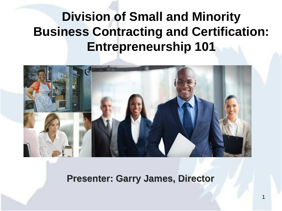## **Division of Small and Minority Business Contracting and Certification: Entrepreneurship 101**



**Presenter: Garry James, Director**

1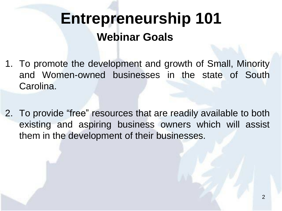# **Webinar Goals Entrepreneurship 101**

- 1. To promote the development and growth of Small, Minority and Women-owned businesses in the state of South Carolina.
- 2. To provide "free" resources that are readily available to both existing and aspiring business owners which will assist them in the development of their businesses.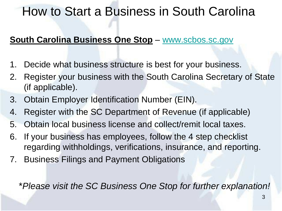### How to Start a Business in South Carolina

#### **South Carolina Business One Stop** – [www.scbos.sc.gov](https://www.scbos.sc.gov/)

- 1. Decide what business structure is best for your business.
- 2. Register your business with the South Carolina Secretary of State (if applicable).
- 3. Obtain Employer Identification Number (EIN).
- 4. Register with the SC Department of Revenue (if applicable)
- 5. Obtain local business license and collect/remit local taxes.
- 6. If your business has employees, follow the 4 step checklist regarding withholdings, verifications, insurance, and reporting.
- 7. Business Filings and Payment Obligations

\**Please visit the SC Business One Stop for further explanation!*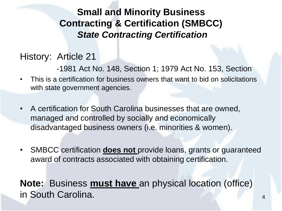#### **Small and Minority Business Contracting & Certification (SMBCC)**  *State Contracting Certification*

#### History: Article 21

-1981 Act No. 148, Section 1; 1979 Act No. 153, Section

- This is a certification for business owners that want to bid on solicitations with state government agencies.
- A certification for South Carolina businesses that are owned, managed and controlled by socially and economically disadvantaged business owners (i.e. minorities & women).
- SMBCC certification **does not** provide loans, grants or guaranteed award of contracts associated with obtaining certification.

**Note:** Business **must have** an physical location (office) in South Carolina. <sup>4</sup>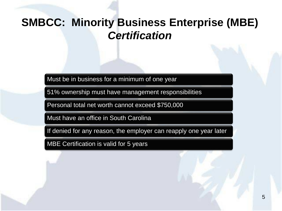#### **SMBCC: Minority Business Enterprise (MBE)**  *Certification*

Must be in business for a minimum of one year

51% ownership must have management responsibilities

Personal total net worth cannot exceed \$750,000

Must have an office in South Carolina

If denied for any reason, the employer can reapply one year later

MBE Certification is valid for 5 years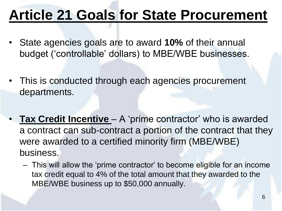# **Article 21 Goals for State Procurement**

- State agencies goals are to award **10%** of their annual budget ('controllable' dollars) to MBE/WBE businesses.
- This is conducted through each agencies procurement departments.
- **Tax Credit Incentive**  A 'prime contractor' who is awarded a contract can sub-contract a portion of the contract that they were awarded to a certified minority firm (MBE/WBE) business.
	- This will allow the 'prime contractor' to become eligible for an income tax credit equal to 4% of the total amount that they awarded to the MBE/WBE business up to \$50,000 annually.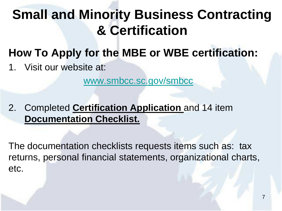# **Small and Minority Business Contracting & Certification**

- **How To Apply for the MBE or WBE certification:**
- 1. Visit our website at:

[www.smbcc.sc.gov/smbcc](https://www.smbcc.sc.gov/smbcc)

2. Completed **Certification Application** and 14 item **Documentation Checklist.**

The documentation checklists requests items such as: tax returns, personal financial statements, organizational charts, etc.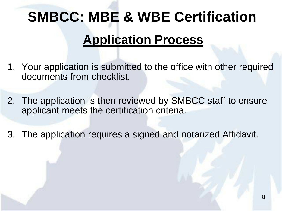# **SMBCC: MBE & WBE Certification**

### **Application Process**

- 1. Your application is submitted to the office with other required documents from checklist.
- 2. The application is then reviewed by SMBCC staff to ensure applicant meets the certification criteria.
- 3. The application requires a signed and notarized Affidavit.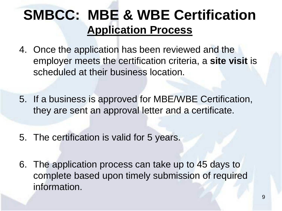## **SMBCC: MBE & WBE Certification Application Process**

- 4. Once the application has been reviewed and the employer meets the certification criteria, a **site visit** is scheduled at their business location.
- 5. If a business is approved for MBE/WBE Certification, they are sent an approval letter and a certificate.
- 5. The certification is valid for 5 years.
- 6. The application process can take up to 45 days to complete based upon timely submission of required information.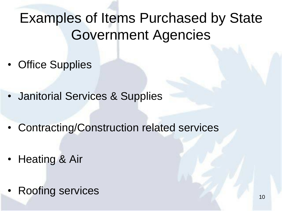# Examples of Items Purchased by State Government Agencies

- Office Supplies
- Janitorial Services & Supplies
- Contracting/Construction related services
- Heating & Air
- Roofing services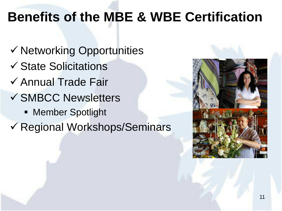## **Benefits of the MBE & WBE Certification**

- $\checkmark$  Networking Opportunities
- $\checkmark$  State Solicitations
- $\checkmark$  Annual Trade Fair
- **√ SMBCC Newsletters** 
	- **EXECT:** Member Spotlight
- Regional Workshops/Seminars

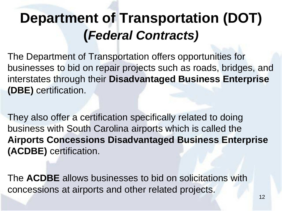# **Department of Transportation (DOT) (***Federal Contracts)*

The Department of Transportation offers opportunities for businesses to bid on repair projects such as roads, bridges, and interstates through their **Disadvantaged Business Enterprise (DBE)** certification.

They also offer a certification specifically related to doing business with South Carolina airports which is called the **Airports Concessions Disadvantaged Business Enterprise (ACDBE)** certification.

The **ACDBE** allows businesses to bid on solicitations with concessions at airports and other related projects.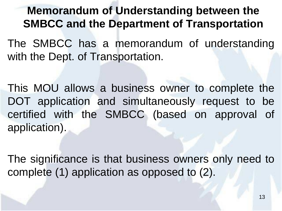#### **Memorandum of Understanding between the SMBCC and the Department of Transportation**

The SMBCC has a memorandum of understanding with the Dept. of Transportation.

This MOU allows a business owner to complete the DOT application and simultaneously request to be certified with the SMBCC (based on approval of application).

The significance is that business owners only need to complete (1) application as opposed to (2).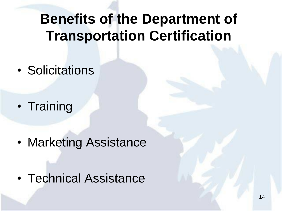# **Benefits of the Department of Transportation Certification**

• Solicitations

• Training

• Marketing Assistance

• Technical Assistance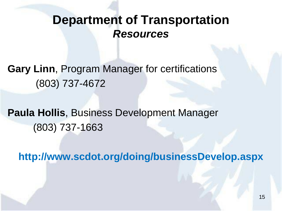### **Department of Transportation** *Resources*

**Gary Linn**, Program Manager for certifications (803) 737-4672

**Paula Hollis**, Business Development Manager (803) 737-1663

**http://www.scdot.org/doing/businessDevelop.aspx**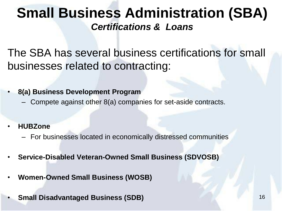### **Small Business Administration (SBA)**  *Certifications & Loans*

The SBA has several business certifications for small businesses related to contracting:

• **8(a) Business Development Program**

- Compete against other 8(a) companies for set-aside contracts.
- **HUBZone** 
	- For businesses located in economically distressed communities
- **Service-Disabled Veteran-Owned Small Business (SDVOSB)**
- **Women-Owned Small Business (WOSB)**
- **Small Disadvantaged Business (SDB)** 16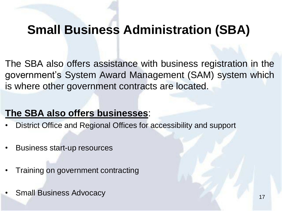### **Small Business Administration (SBA)**

The SBA also offers assistance with business registration in the government's System Award Management (SAM) system which is where other government contracts are located.

#### **The SBA also offers businesses**:

- District Office and Regional Offices for accessibility and support
- Business start-up resources
- Training on government contracting
- **Figure 17** Small Business Advocacy 17 November 2014 17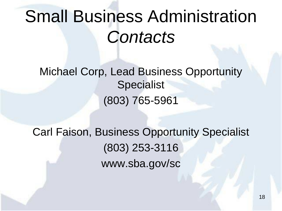# Small Business Administration *Contacts*

Michael Corp, Lead Business Opportunity Specialist (803) 765-5961

Carl Faison, Business Opportunity Specialist (803) 253-3116 www.sba.gov/sc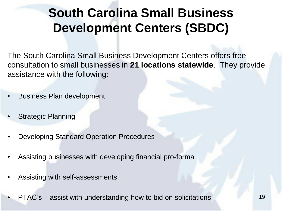## **South Carolina Small Business Development Centers (SBDC)**

The South Carolina Small Business Development Centers offers free consultation to small businesses in **21 locations statewide**. They provide assistance with the following:

- Business Plan development
- Strategic Planning
- Developing Standard Operation Procedures
- Assisting businesses with developing financial pro-forma
- Assisting with self-assessments
- PTAC's assist with understanding how to bid on solicitations 19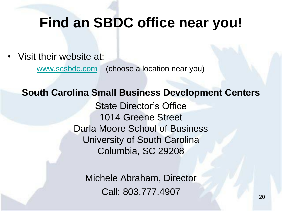## **Find an SBDC office near you!**

• Visit their website at:

[www.scsbdc.com](https://www.scsbdc.com/) (choose a location near you)

#### **South Carolina Small Business Development Centers**

State Director's Office 1014 Greene Street Darla Moore School of Business University of South Carolina Columbia, SC 29208

Michele Abraham, Director Call: 803.777.4907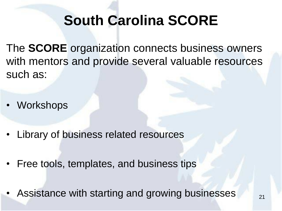# **South Carolina SCORE**

The **SCORE** organization connects business owners with mentors and provide several valuable resources such as:

- Workshops
- Library of business related resources
- Free tools, templates, and business tips
- Assistance with starting and growing businesses 21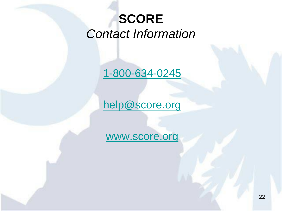## **SCORE** *Contact Information*

[1-800-634-0245](https://www.score.org/)

[help@score.org](https://www.score.org/)

[www.score.org](https://www.score.org/)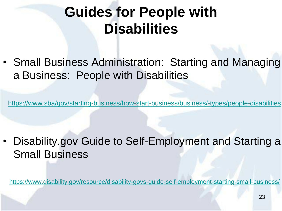# **Guides for People with Disabilities**

• Small Business Administration: Starting and Managing a Business: People with Disabilities

<https://www.sba/gov/starting-business/how-start-business/business/-types/people-disabilities>

• Disability.gov Guide to Self-Employment and Starting a Small Business

<https://www.disability.gov/resource/disability-govs-guide-self-employment-starting-small-business/>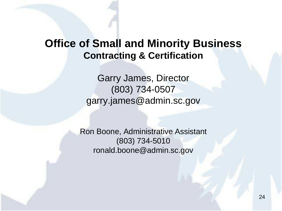#### **Office of Small and Minority Business Contracting & Certification**

Garry James, Director (803) 734-0507 garry.james@admin.sc.gov

Ron Boone, Administrative Assistant (803) 734-5010 ronald.boone@admin.sc.gov